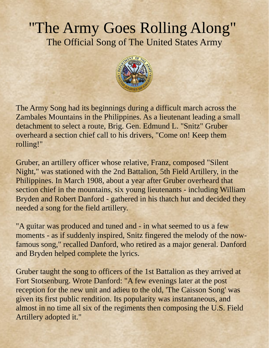## "The Army Goes Rolling Along" The Official Song of The United States Army



The Army Song had its beginnings during a difficult march across the Zambales Mountains in the Philippines. As a lieutenant leading a small detachment to select a route, Brig. Gen. Edmund L. "Snitz" Gruber overheard a section chief call to his drivers, "Come on! Keep them rolling!"

Gruber, an artillery officer whose relative, Franz, composed "Silent Night," was stationed with the 2nd Battalion, 5th Field Artillery, in the Philippines. In March 1908, about a year after Gruber overheard that section chief in the mountains, six young lieutenants - including William Bryden and Robert Danford - gathered in his thatch hut and decided they needed a song for the field artillery.

"A guitar was produced and tuned and - in what seemed to us a few moments - as if suddenly inspired, Snitz fingered the melody of the nowfamous song," recalled Danford, who retired as a major general. Danford and Bryden helped complete the lyrics.

Gruber taught the song to officers of the 1st Battalion as they arrived at Fort Stotsenburg. Wrote Danford: "A few evenings later at the post reception for the new unit and adieu to the old, 'The Caisson Song' was given its first public rendition. Its popularity was instantaneous, and almost in no time all six of the regiments then composing the U.S. Field Artillery adopted it."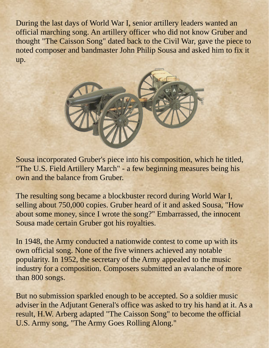During the last days of World War I, senior artillery leaders wanted an official marching song. An artillery officer who did not know Gruber and thought "The Caisson Song" dated back to the Civil War, gave the piece to noted composer and bandmaster John Philip Sousa and asked him to fix it up.



Sousa incorporated Gruber's piece into his composition, which he titled, "The U.S. Field Artillery March" - a few beginning measures being his own and the balance from Gruber.

The resulting song became a blockbuster record during World War I, selling about 750,000 copies. Gruber heard of it and asked Sousa, "How about some money, since I wrote the song?" Embarrassed, the innocent Sousa made certain Gruber got his royalties.

In 1948, the Army conducted a nationwide contest to come up with its own official song. None of the five winners achieved any notable popularity. In 1952, the secretary of the Army appealed to the music industry for a composition. Composers submitted an avalanche of more than 800 songs.

But no submission sparkled enough to be accepted. So a soldier music adviser in the Adjutant General's office was asked to try his hand at it. As a result, H.W. Arberg adapted "The Caisson Song" to become the official U.S. Army song, "The Army Goes Rolling Along."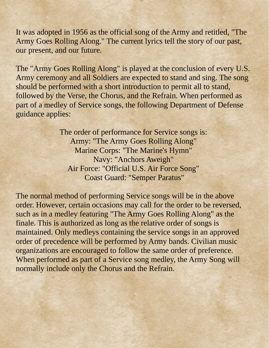It was adopted in 1956 as the official song of the Army and retitled, "The Army Goes Rolling Along." The current lyrics tell the story of our past, our present, and our future.

The "Army Goes Rolling Along" is played at the conclusion of every U.S. Army ceremony and all Soldiers are expected to stand and sing. The song should be performed with a short introduction to permit all to stand, followed by the Verse, the Chorus, and the Refrain. When performed as part of a medley of Service songs, the following Department of Defense guidance applies:

> The order of performance for Service songs is: Army: "The Army Goes Rolling Along" Marine Corps: "The Marine's Hymn" Navy: "Anchors Aweigh" Air Force: "Official U.S. Air Force Song" Coast Guard: "Semper Paratus"

The normal method of performing Service songs will be in the above order. However, certain occasions may call for the order to be reversed, such as in a medley featuring "The Army Goes Rolling Along" as the finale. This is authorized as long as the relative order of songs is maintained. Only medleys containing the service songs in an approved order of precedence will be performed by Army bands. Civilian music organizations are encouraged to follow the same order of preference. When performed as part of a Service song medley, the Army Song will normally include only the Chorus and the Refrain.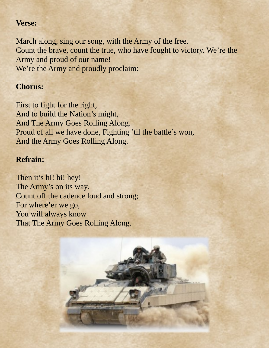## **Verse:**

March along, sing our song, with the Army of the free. Count the brave, count the true, who have fought to victory. We're the Army and proud of our name! We're the Army and proudly proclaim:

## **Chorus:**

First to fight for the right, And to build the Nation's might, And The Army Goes Rolling Along. Proud of all we have done, Fighting 'til the battle's won, And the Army Goes Rolling Along.

## **Refrain:**

Then it's hi! hi! hey! The Army's on its way. Count off the cadence loud and strong; For where'er we go, You will always know That The Army Goes Rolling Along.